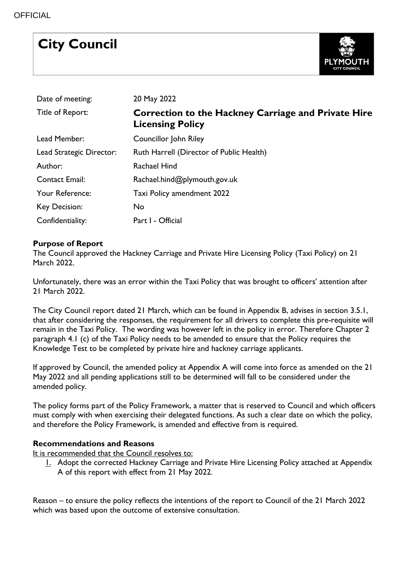# **City Council**



| Date of meeting:         | 20 May 2022                                                                           |
|--------------------------|---------------------------------------------------------------------------------------|
| Title of Report:         | <b>Correction to the Hackney Carriage and Private Hire</b><br><b>Licensing Policy</b> |
| Lead Member:             | Councillor John Riley                                                                 |
| Lead Strategic Director: | Ruth Harrell (Director of Public Health)                                              |
| Author:                  | Rachael Hind                                                                          |
| <b>Contact Email:</b>    | Rachael.hind@plymouth.gov.uk                                                          |
| Your Reference:          | Taxi Policy amendment 2022                                                            |
| Key Decision:            | No                                                                                    |
| Confidentiality:         | Part I - Official                                                                     |

# **Purpose of Report**

The Council approved the Hackney Carriage and Private Hire Licensing Policy (Taxi Policy) on 21 March 2022.

Unfortunately, there was an error within the Taxi Policy that was brought to officers' attention after 21 March 2022.

The City Council report dated 21 March, which can be found in Appendix B, advises in section 3.5.1, that after considering the responses, the requirement for all drivers to complete this pre-requisite will remain in the Taxi Policy. The wording was however left in the policy in error. Therefore Chapter 2 paragraph 4.1 (c) of the Taxi Policy needs to be amended to ensure that the Policy requires the Knowledge Test to be completed by private hire and hackney carriage applicants.

If approved by Council, the amended policy at Appendix A will come into force as amended on the 21 May 2022 and all pending applications still to be determined will fall to be considered under the amended policy.

The policy forms part of the Policy Framework, a matter that is reserved to Council and which officers must comply with when exercising their delegated functions. As such a clear date on which the policy, and therefore the Policy Framework, is amended and effective from is required.

# **Recommendations and Reasons**

It is recommended that the Council resolves to:

1. Adopt the corrected Hackney Carriage and Private Hire Licensing Policy attached at Appendix A of this report with effect from 21 May 2022.

Reason – to ensure the policy reflects the intentions of the report to Council of the 21 March 2022 which was based upon the outcome of extensive consultation.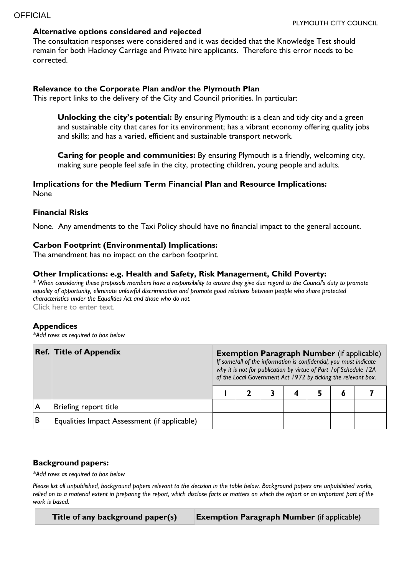# **Alternative options considered and rejected**

The consultation responses were considered and it was decided that the Knowledge Test should remain for both Hackney Carriage and Private hire applicants. Therefore this error needs to be corrected.

# **Relevance to the Corporate Plan and/or the Plymouth Plan**

This report links to the delivery of the City and Council priorities. In particular:

**Unlocking the city's potential:** By ensuring Plymouth: is a clean and tidy city and a green and sustainable city that cares for its environment; has a vibrant economy offering quality jobs and skills; and has a varied, efficient and sustainable transport network.

**Caring for people and communities:** By ensuring Plymouth is a friendly, welcoming city, making sure people feel safe in the city, protecting children, young people and adults.

# **Implications for the Medium Term Financial Plan and Resource Implications:**  None

# **Financial Risks**

None. Any amendments to the Taxi Policy should have no financial impact to the general account.

# **Carbon Footprint (Environmental) Implications:**

The amendment has no impact on the carbon footprint.

# **Other Implications: e.g. Health and Safety, Risk Management, Child Poverty:**

*\* When considering these proposals members have a responsibility to ensure they give due regard to the Council's duty to promote equality of opportunity, eliminate unlawful discrimination and promote good relations between people who share protected characteristics under the Equalities Act and those who do not.*

Click here to enter text.

#### **Appendices**

*\*Add rows as required to box below*

|   | <b>Ref. Title of Appendix</b>                |  | <b>Exemption Paragraph Number</b> (if applicable)<br>If some/all of the information is confidential, you must indicate<br>why it is not for publication by virtue of Part 1 of Schedule 12A<br>of the Local Government Act 1972 by ticking the relevant box. |  |  |  |   |  |  |  |  |
|---|----------------------------------------------|--|--------------------------------------------------------------------------------------------------------------------------------------------------------------------------------------------------------------------------------------------------------------|--|--|--|---|--|--|--|--|
|   |                                              |  |                                                                                                                                                                                                                                                              |  |  |  | Đ |  |  |  |  |
|   | Briefing report title                        |  |                                                                                                                                                                                                                                                              |  |  |  |   |  |  |  |  |
| B | Equalities Impact Assessment (if applicable) |  |                                                                                                                                                                                                                                                              |  |  |  |   |  |  |  |  |

# **Background papers:**

*\*Add rows as required to box below*

*Please list all unpublished, background papers relevant to the decision in the table below. Background papers are unpublished works, relied on to a material extent in preparing the report, which disclose facts or matters on which the report or an important part of the work is based.*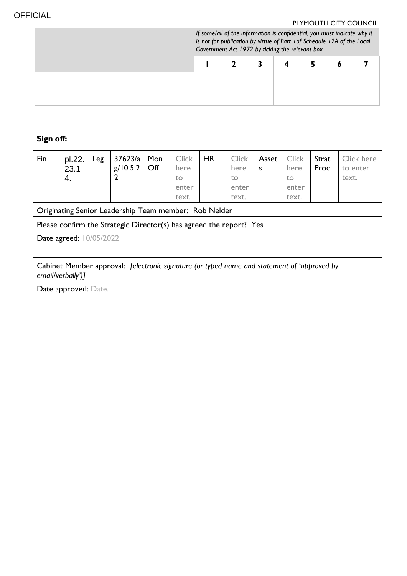r.

# PLYMOUTH CITY COUNCIL

| If some/all of the information is confidential, you must indicate why it<br>is not for publication by virtue of Part 1 of Schedule 12A of the Local<br>Government Act 1972 by ticking the relevant box. |  |  |  |  |  |  |  |  |
|---------------------------------------------------------------------------------------------------------------------------------------------------------------------------------------------------------|--|--|--|--|--|--|--|--|
|                                                                                                                                                                                                         |  |  |  |  |  |  |  |  |
|                                                                                                                                                                                                         |  |  |  |  |  |  |  |  |
|                                                                                                                                                                                                         |  |  |  |  |  |  |  |  |

# **Sign off:**

| Fin                                                                                                              | pl.22.<br>23.1<br>4. | Leg | 37623/a<br>g/10.5.2 | Mon<br>Off | <b>Click</b><br>here<br>to<br>enter<br>text. | <b>HR</b> | <b>Click</b><br>here<br>to<br>enter<br>text. | Asset<br>S | <b>Click</b><br>here<br>to<br>enter<br>text. | Strat<br>Proc | Click here<br>to enter<br>text. |
|------------------------------------------------------------------------------------------------------------------|----------------------|-----|---------------------|------------|----------------------------------------------|-----------|----------------------------------------------|------------|----------------------------------------------|---------------|---------------------------------|
| Originating Senior Leadership Team member: Rob Nelder                                                            |                      |     |                     |            |                                              |           |                                              |            |                                              |               |                                 |
| Please confirm the Strategic Director(s) has agreed the report? Yes                                              |                      |     |                     |            |                                              |           |                                              |            |                                              |               |                                 |
| <b>Date agreed: 10/05/2022</b>                                                                                   |                      |     |                     |            |                                              |           |                                              |            |                                              |               |                                 |
|                                                                                                                  |                      |     |                     |            |                                              |           |                                              |            |                                              |               |                                 |
| Cabinet Member approval: [electronic signature (or typed name and statement of 'approved by<br>email/verbally')] |                      |     |                     |            |                                              |           |                                              |            |                                              |               |                                 |
| Date approved: Date.                                                                                             |                      |     |                     |            |                                              |           |                                              |            |                                              |               |                                 |